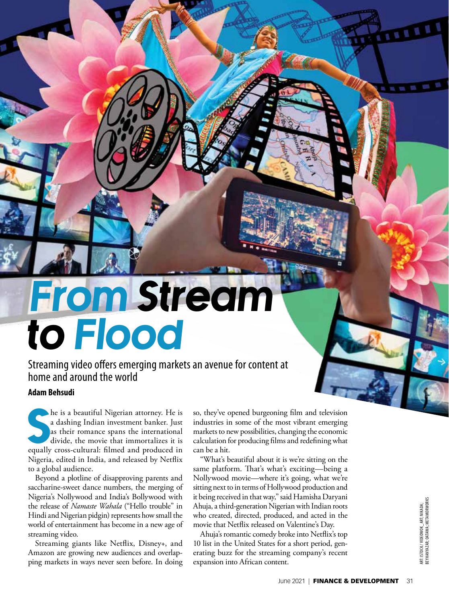## From Stream to Flood

Streaming video offers emerging markets an avenue for content at home and around the world

## **Adam Behsudi**

The is a beautiful Nigerian attorney. He is<br>a dashing Indian investment banker. Just<br>as their romance spans the international<br>divide, the movie that immortalizes it is<br>equally cross-cultural: filmed and produced in he is a beautiful Nigerian attorney. He is a dashing Indian investment banker. Just as their romance spans the international divide, the movie that immortalizes it is Nigeria, edited in India, and released by Netflix to a global audience.

Beyond a plotline of disapproving parents and saccharine-sweet dance numbers, the merging of Nigeria's Nollywood and India's Bollywood with the release of *Namaste Wahala* ("Hello trouble" in Hindi and Nigerian pidgin) represents how small the world of entertainment has become in a new age of streaming video.

Streaming giants like Netflix, Disney+, and Amazon are growing new audiences and overlapping markets in ways never seen before. In doing so, they've opened burgeoning film and television industries in some of the most vibrant emerging markets to new possibilities, changing the economic calculation for producing films and redefining what can be a hit.

"What's beautiful about it is we're sitting on the same platform. That's what's exciting—being a Nollywood movie—where it's going, what we're sitting next to in terms of Hollywood production and it being received in that way," said Hamisha Daryani Ahuja, a third-generation Nigerian with Indian roots who created, directed, produced, and acted in the movie that Netflix released on Valentine's Day.

Ahuja's romantic comedy broke into Netflix's top 10 list in the United States for a short period, generating buzz for the streaming company's recent expansion into African content.

 $\sim$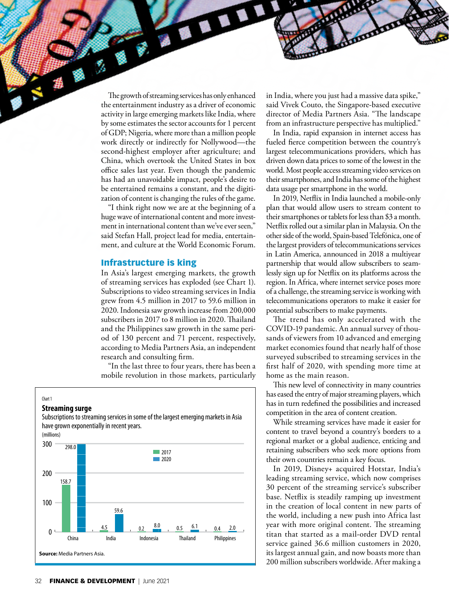The growth of streaming services has only enhanced the entertainment industry as a driver of economic activity in large emerging markets like India, where by some estimates the sector accounts for 1 percent of GDP; Nigeria, where more than a million people work directly or indirectly for Nollywood—the second-highest employer after agriculture; and China, which overtook the United States in box office sales last year. Even though the pandemic has had an unavoidable impact, people's desire to be entertained remains a constant, and the digitization of content is changing the rules of the game.

"I think right now we are at the beginning of a huge wave of international content and more investment in international content than we've ever seen," said Stefan Hall, project lead for media, entertainment, and culture at the World Economic Forum.

## Infrastructure is king

In Asia's largest emerging markets, the growth of streaming services has exploded (see Chart 1). Subscriptions to video streaming services in India grew from 4.5 million in 2017 to 59.6 million in 2020. Indonesia saw growth increase from 200,000 subscribers in 2017 to 8 million in 2020. Thailand and the Philippines saw growth in the same period of 130 percent and 71 percent, respectively, according to Media Partners Asia, an independent research and consulting firm.

"In the last three to four years, there has been a mobile revolution in those markets, particularly



in India, where you just had a massive data spike," said Vivek Couto, the Singapore-based executive director of Media Partners Asia. "The landscape from an infrastructure perspective has multiplied."

In India, rapid expansion in internet access has fueled fierce competition between the country's largest telecommunications providers, which has driven down data prices to some of the lowest in the world. Most people access streaming video services on their smartphones, and India has some of the highest data usage per smartphone in the world.

In 2019, Netflix in India launched a mobile-only plan that would allow users to stream content to their smartphones or tablets for less than \$3 a month. Netflix rolled out a similar plan in Malaysia. On the other side of the world, Spain-based Telefónica, one of the largest providers of telecommunications services in Latin America, announced in 2018 a multiyear partnership that would allow subscribers to seamlessly sign up for Netflix on its platforms across the region. In Africa, where internet service poses more of a challenge, the streaming service is working with telecommunications operators to make it easier for potential subscribers to make payments.

The trend has only accelerated with the COVID-19 pandemic. An annual survey of thousands of viewers from 10 advanced and emerging market economies found that nearly half of those surveyed subscribed to streaming services in the first half of 2020, with spending more time at home as the main reason.

This new level of connectivity in many countries has eased the entry of major streaming players, which has in turn redefined the possibilities and increased competition in the area of content creation.

While streaming services have made it easier for content to travel beyond a country's borders to a regional market or a global audience, enticing and retaining subscribers who seek more options from their own countries remain a key focus.

In 2019, Disney+ acquired Hotstar, India's leading streaming service, which now comprises 30 percent of the streaming service's subscriber base. Netflix is steadily ramping up investment in the creation of local content in new parts of the world, including a new push into Africa last year with more original content. The streaming titan that started as a mail-order DVD rental service gained 36.6 million customers in 2020, its largest annual gain, and now boasts more than 200 million subscribers worldwide. After making a